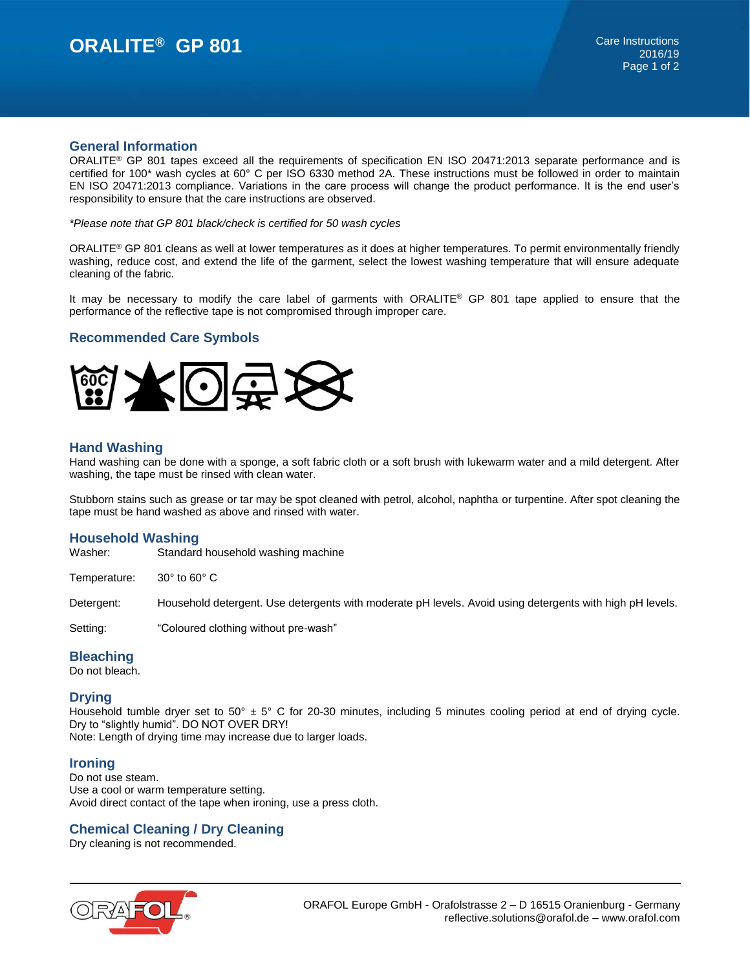# **ORALITE<sup>®</sup> GP 801 Care Instructions**

#### **General Information**

ORALITE® GP 801 tapes exceed all the requirements of specification EN ISO 20471:2013 separate performance and is certified for 100\* wash cycles at 60° C per ISO 6330 method 2A. These instructions must be followed in order to maintain EN ISO 20471:2013 compliance. Variations in the care process will change the product performance. It is the end user's responsibility to ensure that the care instructions are observed.

*\*Please note that GP 801 black/check is certified for 50 wash cycles*

ORALITE® GP 801 cleans as well at lower temperatures as it does at higher temperatures. To permit environmentally friendly washing, reduce cost, and extend the life of the garment, select the lowest washing temperature that will ensure adequate cleaning of the fabric.

It may be necessary to modify the care label of garments with ORALITE® GP 801 tape applied to ensure that the performance of the reflective tape is not compromised through improper care.

### **Recommended Care Symbols**



### **Hand Washing**

Hand washing can be done with a sponge, a soft fabric cloth or a soft brush with lukewarm water and a mild detergent. After washing, the tape must be rinsed with clean water.

Stubborn stains such as grease or tar may be spot cleaned with petrol, alcohol, naphtha or turpentine. After spot cleaning the tape must be hand washed as above and rinsed with water.

### **Household Washing**

Washer: Standard household washing machine

Temperature: 30° to 60° C

Detergent: Household detergent. Use detergents with moderate pH levels. Avoid using detergents with high pH levels.

Setting: "Coloured clothing without pre-wash"

### **Bleaching**

Do not bleach.

### **Drying**

Household tumble dryer set to  $50^{\circ}$  ± 5° C for 20-30 minutes, including 5 minutes cooling period at end of drying cycle. Dry to "slightly humid". DO NOT OVER DRY! Note: Length of drying time may increase due to larger loads.

### **Ironing**

Do not use steam. Use a cool or warm temperature setting. Avoid direct contact of the tape when ironing, use a press cloth.

### **Chemical Cleaning / Dry Cleaning**

Dry cleaning is not recommended.